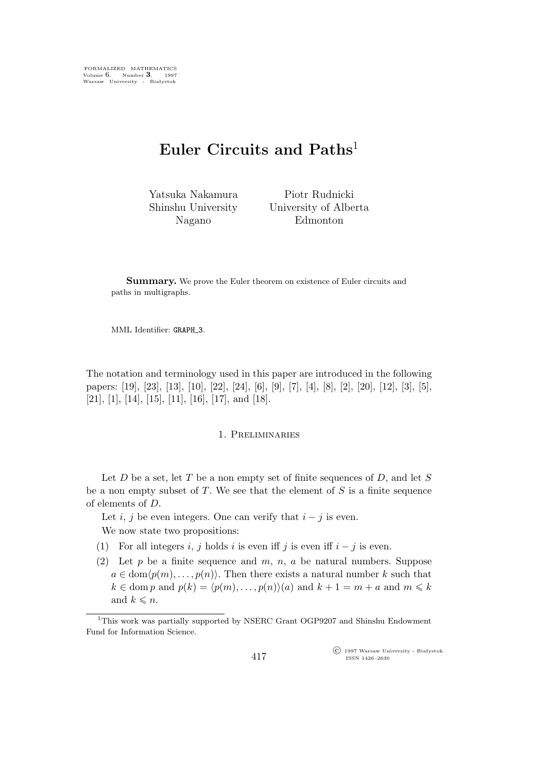FORMALIZED MATHEMATICS Volume 6, Number **3**, 1997 Warsaw University - Białystok

# **Euler Circuits and Paths**<sup>1</sup>

Yatsuka Nakamura Shinshu University Nagano

Piotr Rudnicki University of Alberta Edmonton

Summary. We prove the Euler theorem on existence of Euler circuits and paths in multigraphs.

MML Identifier: GRAPH<sub>-3</sub>.

The notation and terminology used in this paper are introduced in the following papers: [19], [23], [13], [10], [22], [24], [6], [9], [7], [4], [8], [2], [20], [12], [3], [5], [21], [1], [14], [15], [11], [16], [17], and [18].

# 1. Preliminaries

Let  $D$  be a set, let  $T$  be a non empty set of finite sequences of  $D$ , and let  $S$ be a non empty subset of  $T$ . We see that the element of  $S$  is a finite sequence of elements of D.

Let *i*, *j* be even integers. One can verify that  $i - j$  is even.

We now state two propositions:

- (1) For all integers i, j holds i is even iff j is even iff  $i j$  is even.
- (2) Let p be a finite sequence and m, n, a be natural numbers. Suppose  $a \in \text{dom}(p(m),\ldots,p(n))$ . Then there exists a natural number k such that  $k \in \text{dom } p \text{ and } p(k) = \langle p(m), \ldots, p(n) \rangle (a) \text{ and } k+1 = m + a \text{ and } m \leq k$ and  $k \leq n$ .

°c 1997 Warsaw University - Białystok ISSN 1426–2630

<sup>1</sup>This work was partially supported by NSERC Grant OGP9207 and Shinshu Endowment Fund for Information Science.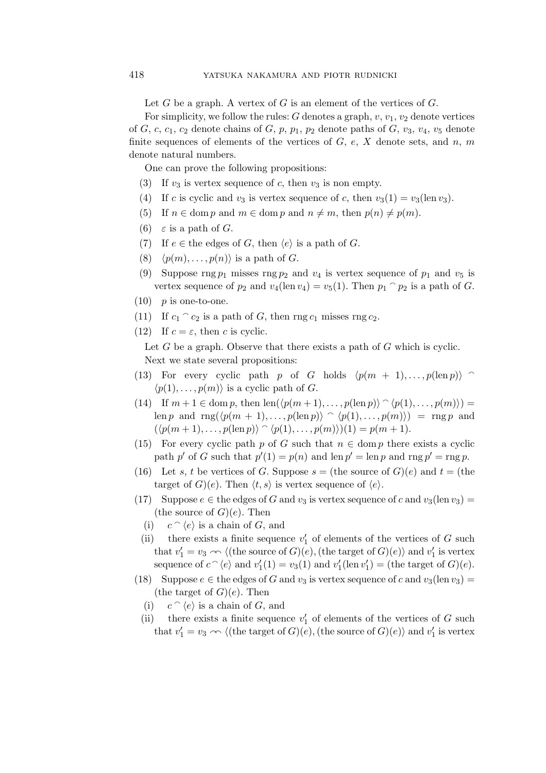Let G be a graph. A vertex of G is an element of the vertices of  $G$ .

For simplicity, we follow the rules: G denotes a graph,  $v, v_1, v_2$  denote vertices of  $G, c, c_1, c_2$  denote chains of  $G, p, p_1, p_2$  denote paths of  $G, v_3, v_4, v_5$  denote finite sequences of elements of the vertices of  $G, e, X$  denote sets, and  $n, m$ denote natural numbers.

One can prove the following propositions:

- (3) If  $v_3$  is vertex sequence of c, then  $v_3$  is non empty.
- (4) If c is cyclic and  $v_3$  is vertex sequence of c, then  $v_3(1) = v_3(\text{len }v_3)$ .
- (5) If  $n \in \text{dom } p$  and  $m \in \text{dom } p$  and  $n \neq m$ , then  $p(n) \neq p(m)$ .
- (6)  $\varepsilon$  is a path of G.
- (7) If  $e \in \text{the edges of } G$ , then  $\langle e \rangle$  is a path of G.
- (8)  $\langle p(m), \ldots, p(n) \rangle$  is a path of G.
- (9) Suppose rng  $p_1$  misses rng  $p_2$  and  $v_4$  is vertex sequence of  $p_1$  and  $v_5$  is vertex sequence of  $p_2$  and  $v_4(\text{len } v_4) = v_5(1)$ . Then  $p_1 \cap p_2$  is a path of G.
- $(10)$  p is one-to-one.
- (11) If  $c_1 \cap c_2$  is a path of G, then rng  $c_1$  misses rng  $c_2$ .
- (12) If  $c = \varepsilon$ , then c is cyclic.

Let  $G$  be a graph. Observe that there exists a path of  $G$  which is cyclic. Next we state several propositions:

- (13) For every cyclic path p of G holds  $\langle p(m + 1), \ldots, p(\text{len } p) \rangle$  $\langle p(1), \ldots, p(m) \rangle$  is a cyclic path of *G*.
- (14) If  $m + 1 \in \text{dom } p$ , then  $\text{len}(\langle p(m + 1), \ldots, p(\text{len } p) \rangle \cap \langle p(1), \ldots, p(m) \rangle) =$ len p and  $\text{rng}(\langle p(m + 1), \ldots, p(\text{len } p) \rangle \cap \langle p(1), \ldots, p(m) \rangle) = \text{rng } p$  and  $(\langle p(m+1),...,p(\text{len } p) \rangle \cap \langle p(1),...,p(m) \rangle)(1) = p(m+1).$
- (15) For every cyclic path p of G such that  $n \in \text{dom } p$  there exists a cyclic path p' of G such that  $p'(1) = p(n)$  and len  $p' = \text{len } p$  and rng  $p' = \text{rng } p$ .
- (16) Let s, t be vertices of G. Suppose  $s =$  (the source of  $G$ )(e) and  $t =$  (the target of  $G$ *(e)*. Then  $\langle t, s \rangle$  is vertex sequence of  $\langle e \rangle$ .
- (17) Suppose  $e \in \text{the edges of } G$  and  $v_3$  is vertex sequence of c and  $v_3(\text{len } v_3)$  = (the source of  $G$ )(e). Then
	- $(i)$  $c \cap \langle e \rangle$  is a chain of G, and
	- (ii) there exists a finite sequence  $v'_1$  of elements of the vertices of G such that  $v'_1 = v_3 \sim \langle$  (the source of  $G$ ) $(e)$ , (the target of  $G$ ) $(e)$ *i* and  $v'_1$  is vertex sequence of  $c \hat{\ }$  (e) and  $v'_1(1) = v_3(1)$  and  $v'_1(\text{len } v'_1) = (\text{the target of } G)(e)$ .
- (18) Suppose  $e \in \mathfrak{h}$  be edges of G and  $v_3$  is vertex sequence of c and  $v_3(\text{len } v_3) =$ (the target of  $G$ )(e). Then
	- (i)  $c \cap \langle e \rangle$  is a chain of G, and
	- (ii) there exists a finite sequence  $v'_1$  of elements of the vertices of G such that  $v'_1 = v_3 \sim \langle$  (the target of G)(e), (the source of G)(e)) and  $v'_1$  is vertex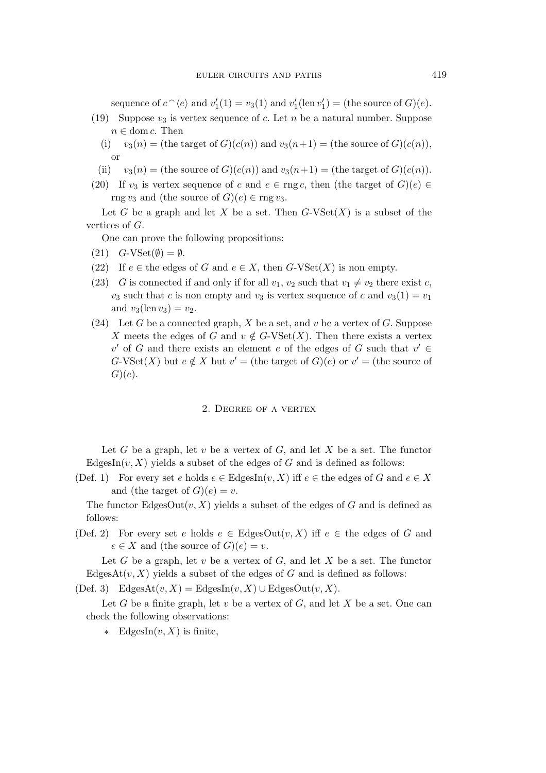sequence of  $c \hat{\ }$  (e) and  $v'_1(1) = v_3(1)$  and  $v'_1(\text{len } v'_1) = (\text{the source of } G)(e)$ .

- (19) Suppose  $v_3$  is vertex sequence of c. Let n be a natural number. Suppose  $n \in \text{dom } c$ . Then
	- (i)  $v_3(n) =$  (the target of  $G(c(n))$  and  $v_3(n+1) =$  (the source of  $G(c(n))$ ), or
	- (ii)  $v_3(n) =$  (the source of  $G$ )( $c(n)$ ) and  $v_3(n+1) =$  (the target of  $G$ )( $c(n)$ ).
- (20) If  $v_3$  is vertex sequence of c and  $e \in \text{rng } c$ , then (the target of  $G$ )( $e$ )  $\in$ rng  $v_3$  and (the source of  $G$ )( $e$ )  $\in$  rng  $v_3$ .

Let G be a graph and let X be a set. Then  $G$ -VSet $(X)$  is a subset of the vertices of G.

One can prove the following propositions:

- $(21)$   $G$ -VSet $(\emptyset) = \emptyset$ .
- (22) If  $e \in$  the edges of G and  $e \in X$ , then G-VSet(X) is non empty.
- (23) G is connected if and only if for all  $v_1, v_2$  such that  $v_1 \neq v_2$  there exist c,  $v_3$  such that c is non empty and  $v_3$  is vertex sequence of c and  $v_3(1) = v_1$ and  $v_3(\text{len }v_3) = v_2$ .
- (24) Let G be a connected graph, X be a set, and v be a vertex of G. Suppose X meets the edges of G and  $v \notin G$ -VSet $(X)$ . Then there exists a vertex  $v'$  of G and there exists an element e of the edges of G such that  $v' \in$  $G\text{-}V\text{Set}(X)$  but  $e \notin X$  but  $v' =$  (the target of  $G$ )(e) or  $v' =$  (the source of  $G)(e).$

### 2. Degree of a vertex

Let G be a graph, let  $v$  be a vertex of  $G$ , and let  $X$  be a set. The functor EdgesIn $(v, X)$  yields a subset of the edges of G and is defined as follows:

(Def. 1) For every set e holds  $e \in EdgesIn(v, X)$  iff  $e \in the$  edges of G and  $e \in X$ and (the target of  $G$ )(e) = v.

The functor EdgesOut $(v, X)$  yields a subset of the edges of G and is defined as follows:

(Def. 2) For every set e holds  $e \in EdgesOut(v, X)$  iff  $e \in \text{the edges of } G$  and  $e \in X$  and (the source of  $G$ ) $(e) = v$ .

Let G be a graph, let v be a vertex of  $G$ , and let X be a set. The functor EdgesAt $(v, X)$  yields a subset of the edges of G and is defined as follows:

(Def. 3) Edges $\text{At}(v, X) = \text{EdgesIn}(v, X) \cup \text{EdgesOut}(v, X)$ .

Let G be a finite graph, let v be a vertex of  $G$ , and let X be a set. One can check the following observations:

*∗* EdgesIn(v, X) is finite,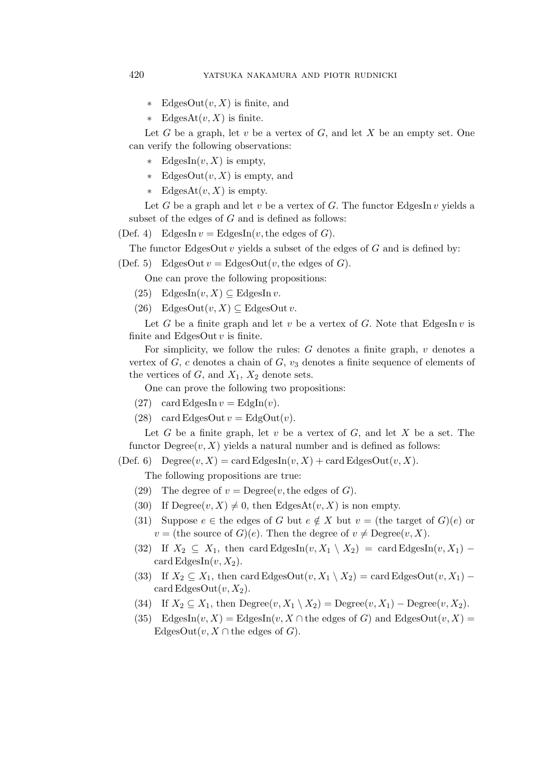- *∗* EdgesOut(v,X) is finite, and
- *∗* EdgesAt(v, X) is finite.

Let G be a graph, let v be a vertex of  $G$ , and let X be an empty set. One can verify the following observations:

- *∗* EdgesIn(v, X) is empty,
- *∗* EdgesOut(v,X) is empty, and
- *∗* EdgesAt(v, X) is empty.

Let G be a graph and let v be a vertex of G. The functor EdgesIn v yields a subset of the edges of  $G$  and is defined as follows:

(Def. 4) EdgesIn  $v =$  EdgesIn(v, the edges of G).

The functor EdgesOut  $v$  yields a subset of the edges of  $G$  and is defined by:

(Def. 5) EdgesOut  $v = \text{EdgesOut}(v, \text{the edges of } G)$ .

One can prove the following propositions:

(25) EdgesIn $(v, X) \subseteq$ EdgesIn v.

(26) EdgesOut $(v, X) \subseteq$  EdgesOut v.

Let G be a finite graph and let v be a vertex of G. Note that EdgesIn v is finite and EdgesOut  $v$  is finite.

For simplicity, we follow the rules:  $G$  denotes a finite graph,  $v$  denotes a vertex of G, c denotes a chain of G,  $v_3$  denotes a finite sequence of elements of the vertices of  $G$ , and  $X_1$ ,  $X_2$  denote sets.

One can prove the following two propositions:

- (27) card EdgesIn  $v =$  EdgIn(v).
- (28) card EdgesOut  $v = EdgOut(v)$ .

Let G be a finite graph, let v be a vertex of G, and let X be a set. The functor  $\text{Degree}(v, X)$  yields a natural number and is defined as follows:

(Def. 6) Degree $(v, X) = \text{card EdgesIn}(v, X) + \text{card EdgesOut}(v, X)$ .

The following propositions are true:

- (29) The degree of  $v = \text{Degree}(v, \text{the edges of } G)$ .
- (30) If  $\text{Degree}(v, X) \neq 0$ , then EdgesAt $(v, X)$  is non empty.
- (31) Suppose  $e \in \mathfrak{h}$  be edges of G but  $e \notin X$  but  $v = (\mathfrak{h} \in \mathfrak{t}$  arget of  $G)(e)$  or  $v =$  (the source of  $G$ )(*e*). Then the degree of  $v \neq$  Degree $(v, X)$ .
- (32) If  $X_2 \subseteq X_1$ , then card EdgesIn(v,  $X_1 \setminus X_2$ ) = card EdgesIn(v,  $X_1$ ) − card EdgesIn $(v, X_2)$ .
- (33) If  $X_2 \subseteq X_1$ , then card EdgesOut $(v, X_1 \setminus X_2) = \text{card EdgesOut}(v, X_1)$ card EdgesOut $(v, X_2)$ .
- (34) If  $X_2 \subseteq X_1$ , then  $\text{Degree}(v, X_1 \setminus X_2) = \text{Degree}(v, X_1) \text{Degree}(v, X_2)$ .
- (35) EdgesIn(v, X) = EdgesIn(v, X ∩ the edges of G) and EdgesOut(v, X) = EdgesOut $(v, X \cap \text{the edges of } G)$ .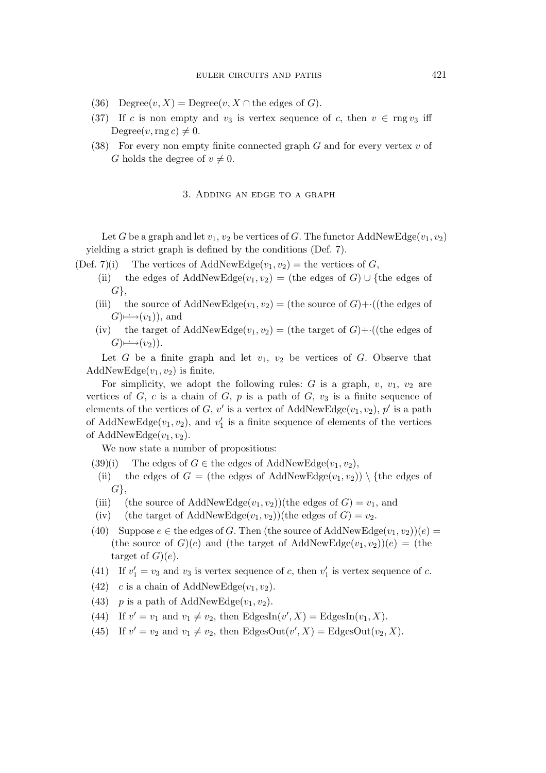- (36) Degree $(v, X)$  = Degree $(v, X \cap$  the edges of G).
- (37) If c is non empty and  $v_3$  is vertex sequence of c, then  $v \in \text{rng } v_3$  iff Degree $(v, \text{rng } c) \neq 0$ .
- (38) For every non empty finite connected graph  $G$  and for every vertex  $v$  of G holds the degree of  $v \neq 0$ .

## 3. Adding an edge to a graph

Let G be a graph and let  $v_1, v_2$  be vertices of G. The functor AddNewEdge $(v_1, v_2)$ yielding a strict graph is defined by the conditions (Def. 7).

- (Def. 7)(i) The vertices of AddNewEdge $(v_1, v_2)$  = the vertices of G,
	- (ii) the edges of AddNewEdge $(v_1,v_2)$  = (the edges of G)  $\cup$  {the edges of G*}*,
	- (iii) the source of AddNewEdge $(v_1,v_2) =$  (the source of  $G$ )+ $\cdot$ ((the edges of  $G \rightarrowrightarrow(v_1)$ , and
	- (iv) the target of AddNewEdge $(v_1, v_2) =$  (the target of  $G$ )+ $\cdot$ ((the edges of  $G \mapsto (v_2)$ .

Let  $G$  be a finite graph and let  $v_1$ ,  $v_2$  be vertices of  $G$ . Observe that AddNewEdge $(v_1,v_2)$  is finite.

For simplicity, we adopt the following rules: G is a graph,  $v$ ,  $v_1$ ,  $v_2$  are vertices of G, c is a chain of G, p is a path of G,  $v_3$  is a finite sequence of elements of the vertices of G, v' is a vertex of AddNewEdge( $v_1, v_2$ ),  $p'$  is a path of AddNewEdge $(v_1, v_2)$ , and  $v'_1$  is a finite sequence of elements of the vertices of AddNewEdge $(v_1,v_2)$ .

We now state a number of propositions:

- (39)(i) The edges of  $G \in \mathbb{R}$  be edges of AddNewEdge( $v_1, v_2$ ),
- (ii) the edges of  $G =$  (the edges of AddNewEdge( $v_1, v_2$ ))  $\setminus$  {the edges of G*}*,
- (iii) (the source of AddNewEdge $(v_1,v_2)$ )(the edges of  $G = v_1$ , and
- (iv) (the target of AddNewEdge( $v_1, v_2$ ))(the edges of  $G = v_2$ .
- (40) Suppose  $e \in \text{the edges of } G$ . Then (the source of AddNewEdge $(v_1, v_2)(e)$  = (the source of  $G(e)$ ) and (the target of AddNewEdge $(v_1,v_2)(e) =$  (the target of  $G$ ) $(e)$ .
- (41) If  $v'_1 = v_3$  and  $v_3$  is vertex sequence of c, then  $v'_1$  is vertex sequence of c.
- (42) c is a chain of AddNewEdge $(v_1, v_2)$ .
- (43) p is a path of AddNewEdge $(v_1, v_2)$ .
- (44) If  $v' = v_1$  and  $v_1 \neq v_2$ , then EdgesIn( $v', X$ ) = EdgesIn( $v_1, X$ ).
- (45) If  $v' = v_2$  and  $v_1 \neq v_2$ , then EdgesOut $(v', X) =$ EdgesOut $(v_2, X)$ .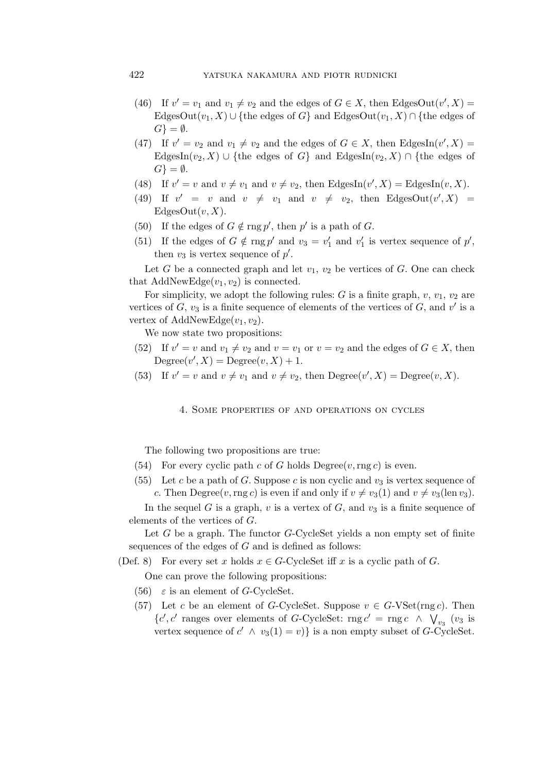- (46) If  $v' = v_1$  and  $v_1 \neq v_2$  and the edges of  $G \in X$ , then EdgesOut $(v', X) =$ EdgesOut $(v_1, X)$  *∪* {the edges of G} and EdgesOut $(v_1, X)$   $\cap$  {the edges of  $G$ <sup>}</sup> =  $\emptyset$ .
- (47) If  $v' = v_2$  and  $v_1 \neq v_2$  and the edges of  $G \in X$ , then EdgesIn( $v', X$ ) = EdgesIn( $v_2, X$ )  $\cup$  {the edges of G} and EdgesIn( $v_2, X$ )  $\cap$  {the edges of  $G$ <sup>}</sup> =  $\emptyset$ .
- (48) If  $v' = v$  and  $v \neq v_1$  and  $v \neq v_2$ , then EdgesIn( $v', X$ ) = EdgesIn( $v, X$ ).
- (49) If  $v' = v$  and  $v \neq v_1$  and  $v \neq v_2$ , then EdgesOut $(v', X)$ EdgesOut $(v, X)$ .
- (50) If the edges of  $G \notin \text{rng } p'$ , then  $p'$  is a path of  $G$ .
- (51) If the edges of  $G \notin \text{rng } p'$  and  $v_3 = v'_1$  and  $v'_1$  is vertex sequence of p', then  $v_3$  is vertex sequence of  $p'$ .

Let G be a connected graph and let  $v_1, v_2$  be vertices of G. One can check that AddNewEdge $(v_1, v_2)$  is connected.

For simplicity, we adopt the following rules: G is a finite graph,  $v, v_1, v_2$  are vertices of  $G$ ,  $v_3$  is a finite sequence of elements of the vertices of  $G$ , and  $v'$  is a vertex of AddNewEdge $(v_1, v_2)$ .

We now state two propositions:

- (52) If  $v' = v$  and  $v_1 \neq v_2$  and  $v = v_1$  or  $v = v_2$  and the edges of  $G \in X$ , then Degree $(v', X) = \text{Degree}(v, X) + 1.$
- (53) If  $v' = v$  and  $v \neq v_1$  and  $v \neq v_2$ , then  $\text{Degree}(v', X) = \text{Degree}(v, X)$ .

4. Some properties of and operations on cycles

The following two propositions are true:

- (54) For every cyclic path c of G holds  $\text{Degree}(v, \text{rng } c)$  is even.
- (55) Let c be a path of G. Suppose c is non cyclic and  $v_3$  is vertex sequence of c. Then Degree $(v, \text{rng } c)$  is even if and only if  $v \neq v_3(1)$  and  $v \neq v_3(\text{len } v_3)$ .

In the sequel G is a graph,  $v$  is a vertex of G, and  $v_3$  is a finite sequence of elements of the vertices of G.

Let  $G$  be a graph. The functor  $G$ -CycleSet yields a non empty set of finite sequences of the edges of  $G$  and is defined as follows:

(Def. 8) For every set x holds  $x \in G$ -CycleSet iff x is a cyclic path of G.

One can prove the following propositions:

- (56)  $\varepsilon$  is an element of G-CycleSet.
- (57) Let c be an element of G-CycleSet. Suppose  $v \in G$ -VSet(rng c). Then { $c', c'$  ranges over elements of G-CycleSet: rng  $c'$  = rng  $c \wedge \sqrt{\frac{v_{3}}{v_{3}}}$  (v<sub>3</sub> is vertex sequence of  $c' \wedge v_3(1) = v$ } is a non empty subset of G-CycleSet.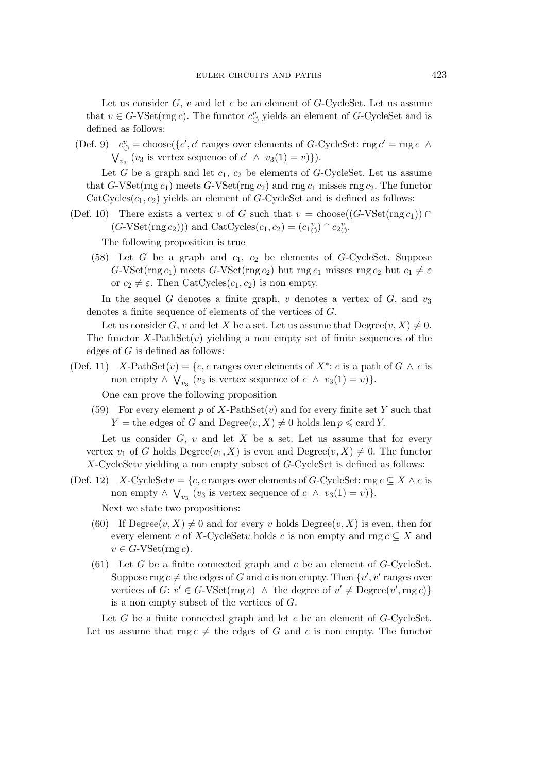Let us consider  $G, v$  and let c be an element of G-CycleSet. Let us assume that  $v \in G$ -VSet(rng c). The functor  $c^v_{\circ}$  yields an element of G-CycleSet and is defined as follows:

(Def. 9)  $c^v_{\circlearrowleft} = \text{choose} \{c', c' \text{ ranges over elements of } G\text{-CycleSet: rng } c' = \text{rng } c \land$  $\bigvee_{v_3}^{\infty}$  (*v*<sub>3</sub> is vertex sequence of  $c' \wedge v_3(1) = v)$ ).

Let G be a graph and let  $c_1$ ,  $c_2$  be elements of G-CycleSet. Let us assume that G-VSet(rng  $c_1$ ) meets G-VSet(rng  $c_2$ ) and rng  $c_1$  misses rng  $c_2$ . The functor  $CatCycles(c_1, c_2)$  yields an element of G-CycleSet and is defined as follows:

(Def. 10) There exists a vertex v of G such that  $v = \text{choose}((G\text{-}V\text{Set}(rng c_1)) \cap$  $(G\text{-VSet}(r\text{ng }c_2)))$  and  $CatCycles(c_1, c_2) = (c_1^{\ v}_{\circlearrowleft}) \cap c_2^{\ v}_{\circlearrowleft}.$ 

The following proposition is true

(58) Let G be a graph and  $c_1$ ,  $c_2$  be elements of G-CycleSet. Suppose G-VSet(rng  $c_1$ ) meets G-VSet(rng  $c_2$ ) but rng  $c_1$  misses rng  $c_2$  but  $c_1 \neq \varepsilon$ or  $c_2 \neq \varepsilon$ . Then CatCycles $(c_1, c_2)$  is non empty.

In the sequel G denotes a finite graph,  $v$  denotes a vertex of  $G$ , and  $v_3$ denotes a finite sequence of elements of the vertices of G.

Let us consider G, v and let X be a set. Let us assume that  $\text{Degree}(v, X) \neq 0$ . The functor  $X$ -PathSet $(v)$  yielding a non empty set of finite sequences of the edges of  $G$  is defined as follows:

(Def. 11) X-PathSet $(v) = \{c, c \text{ ranges over elements of } X^* : c \text{ is a path of } G \land c \text{ is }$ non empty  $\land \bigvee_{v_3} (v_3 \text{ is vertex sequence of } c \land v_3(1) = v) \}.$ 

One can prove the following proposition

(59) For every element p of X-PathSet(v) and for every finite set Y such that  $Y =$  the edges of G and Degree $(v, X) \neq 0$  holds len  $p \leq$  card Y.

Let us consider  $G, v$  and let  $X$  be a set. Let us assume that for every vertex  $v_1$  of G holds Degree $(v_1, X)$  is even and Degree $(v, X) \neq 0$ . The functor X-CycleSetv yielding a non empty subset of G-CycleSet is defined as follows:

- (Def. 12) X-CycleSet $v = \{c, c \text{ ranges over elements of } G\text{-CycleSet}: \text{rng } c \subseteq X \land c \text{ is}$ non empty  $\land \bigvee_{v_3} (v_3 \text{ is vertex sequence of } c \land v_3(1) = v) \}.$ Next we state two propositions:
	- (60) If  $\text{Degree}(v, X) \neq 0$  and for every v holds  $\text{Degree}(v, X)$  is even, then for every element c of X-CycleSetv holds c is non empty and rng  $c \subseteq X$  and  $v \in G$ -VSet(rng c).
	- (61) Let G be a finite connected graph and c be an element of  $G$ -CycleSet. Suppose  $\text{rng } c \neq \text{the edges of } G \text{ and } c \text{ is non empty. Then } \{v', v' \text{ ranges over } \}$ vertices of  $G: v' \in G$ -VSet(rng c)  $\wedge$  the degree of  $v' \neq \text{Degree}(v',\text{rng } c)$ } is a non empty subset of the vertices of G.

Let  $G$  be a finite connected graph and let  $c$  be an element of  $G$ -CycleSet. Let us assume that rng  $c \neq$  the edges of G and c is non empty. The functor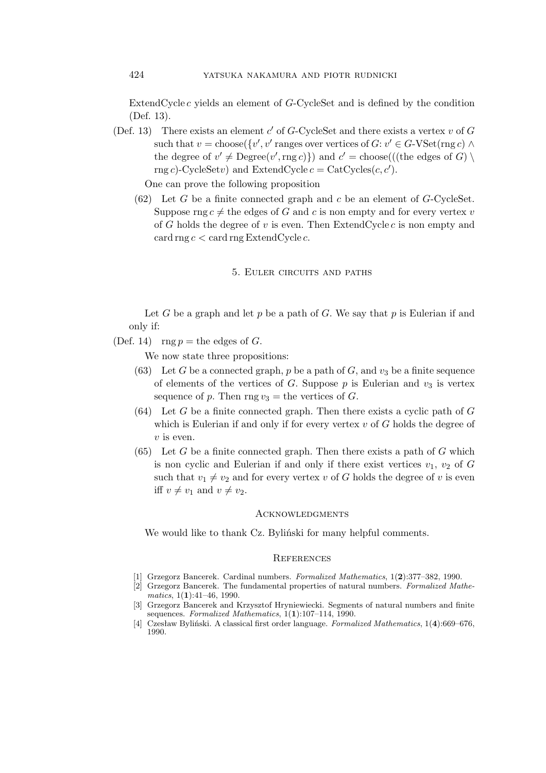ExtendCycle  $c$  yields an element of  $G$ -CycleSet and is defined by the condition (Def. 13).

(Def. 13) There exists an element  $c'$  of  $G$ -CycleSet and there exists a vertex  $v$  of  $G$ such that  $v = \text{choose}({v', v' \text{ ranges over vertices of } G : v' \in G\text{-VSet}(mg c) \land w'}$ the degree of  $v' \neq \text{Degree}(v',\text{rng } c)$ }) and  $c' = \text{choose}((\text{the edges of } G) \setminus \text{size})$ rng c)-CycleSetv) and ExtendCycle  $c = \text{CatCycles}(c, c')$ .

One can prove the following proposition

 $(62)$  Let G be a finite connected graph and c be an element of G-CycleSet. Suppose rng  $c \neq$  the edges of G and c is non empty and for every vertex v of G holds the degree of  $v$  is even. Then ExtendCycle  $c$  is non empty and card rng  $c <$  card rng ExtendCycle  $c$ .

# 5. Euler circuits and paths

Let G be a graph and let p be a path of G. We say that p is Eulerian if and only if:

(Def. 14) rng  $p =$  the edges of G.

We now state three propositions:

- (63) Let G be a connected graph, p be a path of G, and  $v_3$  be a finite sequence of elements of the vertices of  $G$ . Suppose  $p$  is Eulerian and  $v_3$  is vertex sequence of p. Then rng  $v_3$  = the vertices of G.
- $(64)$  Let G be a finite connected graph. Then there exists a cyclic path of G which is Eulerian if and only if for every vertex  $v$  of  $G$  holds the degree of  $v$  is even.
- $(65)$  Let G be a finite connected graph. Then there exists a path of G which is non cyclic and Eulerian if and only if there exist vertices  $v_1, v_2$  of G such that  $v_1 \neq v_2$  and for every vertex v of G holds the degree of v is even iff  $v \neq v_1$  and  $v \neq v_2$ .

### **ACKNOWLEDGMENTS**

We would like to thank Cz. Byliński for many helpful comments.

## **REFERENCES**

- [1] Grzegorz Bancerek. Cardinal numbers. *Formalized Mathematics*, 1(**2**):377–382, 1990.
- [2] Grzegorz Bancerek. The fundamental properties of natural numbers. *Formalized Mathematics*, 1(**1**):41–46, 1990.
- [3] Grzegorz Bancerek and Krzysztof Hryniewiecki. Segments of natural numbers and finite sequences. *Formalized Mathematics*, 1(**1**):107–114, 1990.
- [4] Czesław Byliński. A classical first order language. *Formalized Mathematics*, 1(**4**):669–676, 1990.